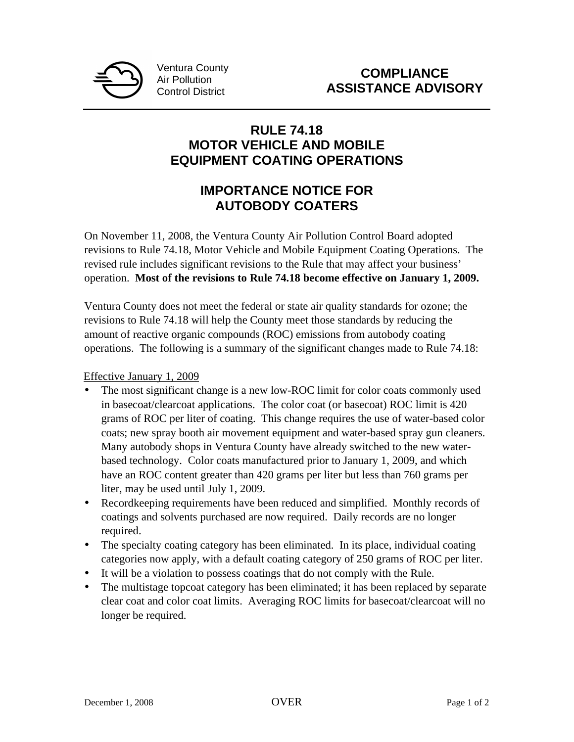

## **RULE 74.18 MOTOR VEHICLE AND MOBILE EQUIPMENT COATING OPERATIONS**

## **IMPORTANCE NOTICE FOR AUTOBODY COATERS**

On November 11, 2008, the Ventura County Air Pollution Control Board adopted revisions to Rule 74.18, Motor Vehicle and Mobile Equipment Coating Operations. The revised rule includes significant revisions to the Rule that may affect your business' operation. **Most of the revisions to Rule 74.18 become effective on January 1, 2009.**

Ventura County does not meet the federal or state air quality standards for ozone; the revisions to Rule 74.18 will help the County meet those standards by reducing the amount of reactive organic compounds (ROC) emissions from autobody coating operations. The following is a summary of the significant changes made to Rule 74.18:

Effective January 1, 2009

- The most significant change is a new low-ROC limit for color coats commonly used in basecoat/clearcoat applications. The color coat (or basecoat) ROC limit is 420 grams of ROC per liter of coating. This change requires the use of water-based color coats; new spray booth air movement equipment and water-based spray gun cleaners. Many autobody shops in Ventura County have already switched to the new waterbased technology. Color coats manufactured prior to January 1, 2009, and which have an ROC content greater than 420 grams per liter but less than 760 grams per liter, may be used until July 1, 2009.
- Recordkeeping requirements have been reduced and simplified. Monthly records of coatings and solvents purchased are now required. Daily records are no longer required.
- The specialty coating category has been eliminated. In its place, individual coating categories now apply, with a default coating category of 250 grams of ROC per liter.
- It will be a violation to possess coatings that do not comply with the Rule.
- The multistage topcoat category has been eliminated; it has been replaced by separate clear coat and color coat limits. Averaging ROC limits for basecoat/clearcoat will no longer be required.